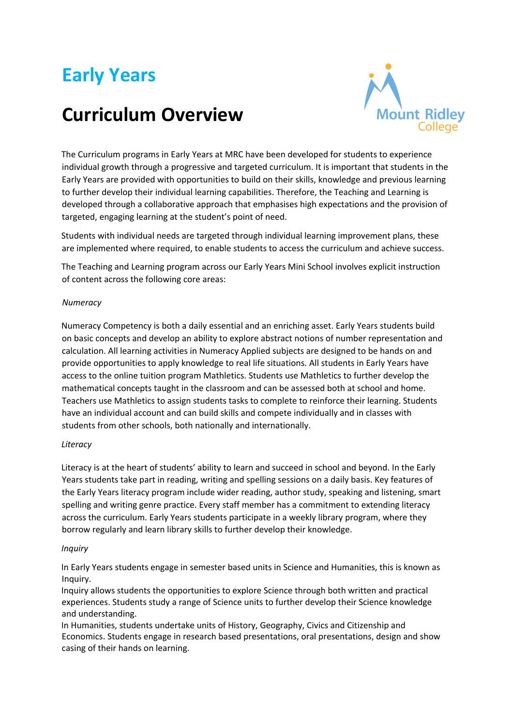# **Early Years**

# **Curriculum Overview**



The Curriculum programs in Early Years at MRC have been developed for students to experience individual growth through a progressive and targeted curriculum. It is important that students in the Early Years are provided with opportunities to build on their skills, knowledge and previous learning to further develop their individual learning capabilities. Therefore, the Teaching and Learning is developed through a collaborative approach that emphasises high expectations and the provision of targeted, engaging learning at the student's point of need.

Students with individual needs are targeted through individual learning improvement plans, these are implemented where required, to enable students to access the curriculum and achieve success.

The Teaching and Learning program across our Early Years Mini School involves explicit instruction of content across the following core areas:

## *Numeracy*

Numeracy Competency is both a daily essential and an enriching asset. Early Years students build on basic concepts and develop an ability to explore abstract notions of number representation and calculation. All learning activities in Numeracy Applied subjects are designed to be hands on and provide opportunities to apply knowledge to real life situations. All students in Early Years have access to the online tuition program Mathletics. Students use Mathletics to further develop the mathematical concepts taught in the classroom and can be assessed both at school and home. Teachers use Mathletics to assign students tasks to complete to reinforce their learning. Students have an individual account and can build skills and compete individually and in classes with students from other schools, both nationally and internationally.

#### *Literacy*

Literacy is at the heart of students' ability to learn and succeed in school and beyond. In the Early Years students take part in reading, writing and spelling sessions on a daily basis. Key features of the Early Years literacy program include wider reading, author study, speaking and listening, smart spelling and writing genre practice. Every staff member has a commitment to extending literacy across the curriculum. Early Years students participate in a weekly library program, where they borrow regularly and learn library skills to further develop their knowledge.

#### *Inquiry*

In Early Years students engage in semester based units in Science and Humanities, this is known as Inquiry.

Inquiry allows students the opportunities to explore Science through both written and practical experiences. Students study a range of Science units to further develop their Science knowledge and understanding.

In Humanities, students undertake units of History, Geography, Civics and Citizenship and Economics. Students engage in research based presentations, oral presentations, design and show casing of their hands on learning.